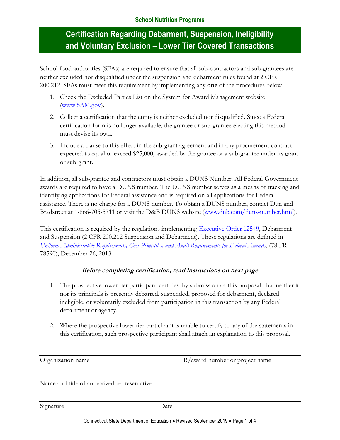School food authorities (SFAs) are required to ensure that all sub-contractors and sub-grantees are neither excluded nor disqualified under the suspension and debarment rules found at 2 CFR 200.212. SFAs must meet this requirement by implementing any **one** of the procedures below.

- 1. Check the Excluded Parties List on the System for Award Management website [\(www.SAM.gov\)](http://www.sam.gov/).
- 2. Collect a certification that the entity is neither excluded nor disqualified. Since a Federal certification form is no longer available, the grantee or sub-grantee electing this method must devise its own.
- 3. Include a clause to this effect in the sub-grant agreement and in any procurement contract expected to equal or exceed \$25,000, awarded by the grantee or a sub-grantee under its grant or sub-grant.

In addition, all sub-grantee and contractors must obtain a DUNS Number. All Federal Government awards are required to have a DUNS number. The DUNS number serves as a means of tracking and identifying applications for Federal assistance and is required on all applications for Federal assistance. There is no charge for a DUNS number. To obtain a DUNS number, contact Dun and Bradstreet at 1-866-705-5711 or visit the D&B DUNS website [\(www.dnb.com/duns-number.html\)](http://www.dnb.com/duns-number.html).

This certification is required by the regulations implementing [Executive Order 12549,](https://www.archives.gov/federal-register/codification/executive-order/12549.html) Debarment and Suspension (2 CFR 200.212 Suspension and Debarment). These regulations are defined in *[Uniform Administrative Requirements, Cost Principles, and Audit Requirements for Federal Awards](https://www.gpo.gov/fdsys/pkg/FR-2013-12-26/pdf/2013-30465.pdf)*, (78 FR 78590), December 26, 2013.

#### **Before completing certification, read instructions on next page**

- 1. The prospective lower tier participant certifies, by submission of this proposal, that neither it nor its principals is presently debarred, suspended, proposed for debarment, declared ineligible, or voluntarily excluded from participation in this transaction by any Federal department or agency.
- 2. Where the prospective lower tier participant is unable to certify to any of the statements in this certification, such prospective participant shall attach an explanation to this proposal.

Organization name PR/award number or project name

Name and title of authorized representative

Signature Date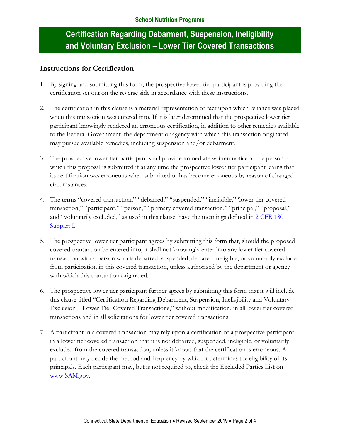### **Instructions for Certification**

- 1. By signing and submitting this form, the prospective lower tier participant is providing the certification set out on the reverse side in accordance with these instructions.
- 2. The certification in this clause is a material representation of fact upon which reliance was placed when this transaction was entered into. If it is later determined that the prospective lower tier participant knowingly rendered an erroneous certification, in addition to other remedies available to the Federal Government, the department or agency with which this transaction originated may pursue available remedies, including suspension and/or debarment.
- 3. The prospective lower tier participant shall provide immediate written notice to the person to which this proposal is submitted if at any time the prospective lower tier participant learns that its certification was erroneous when submitted or has become erroneous by reason of changed circumstances.
- 4. The terms "covered transaction," "debarred," "suspended," "ineligible," 'lower tier covered transaction," "participant," "person," "primary covered transaction," "principal," "proposal," and "voluntarily excluded," as used in this clause, have the meanings defined in [2 CFR 180](http://www.ecfr.gov/cgi-bin/text-idx?SID=93602f3aed3946b000f949f42d7b8426&mc=true&node=pt2.1.180&rgn=div5#sp2.1.180.i)  [Subpart I.](http://www.ecfr.gov/cgi-bin/text-idx?SID=93602f3aed3946b000f949f42d7b8426&mc=true&node=pt2.1.180&rgn=div5#sp2.1.180.i)
- 5. The prospective lower tier participant agrees by submitting this form that, should the proposed covered transaction be entered into, it shall not knowingly enter into any lower tier covered transaction with a person who is debarred, suspended, declared ineligible, or voluntarily excluded from participation in this covered transaction, unless authorized by the department or agency with which this transaction originated.
- 6. The prospective lower tier participant further agrees by submitting this form that it will include this clause titled "Certification Regarding Debarment, Suspension, Ineligibility and Voluntary Exclusion – Lower Tier Covered Transactions," without modification, in all lower tier covered transactions and in all solicitations for lower tier covered transactions.
- 7. A participant in a covered transaction may rely upon a certification of a prospective participant in a lower tier covered transaction that it is not debarred, suspended, ineligible, or voluntarily excluded from the covered transaction, unless it knows that the certification is erroneous. A participant may decide the method and frequency by which it determines the eligibility of its principals. Each participant may, but is not required to, check the Excluded Parties List on [www.SAM.gov.](http://www.sam.gov/)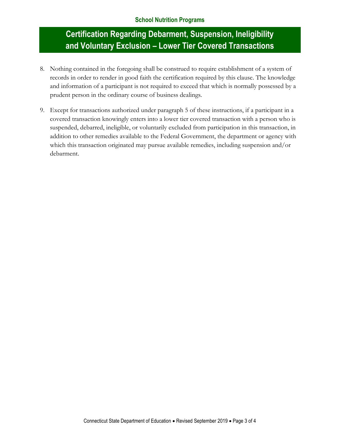- 8. Nothing contained in the foregoing shall be construed to require establishment of a system of records in order to render in good faith the certification required by this clause. The knowledge and information of a participant is not required to exceed that which is normally possessed by a prudent person in the ordinary course of business dealings.
- 9. Except for transactions authorized under paragraph 5 of these instructions, if a participant in a covered transaction knowingly enters into a lower tier covered transaction with a person who is suspended, debarred, ineligible, or voluntarily excluded from participation in this transaction, in addition to other remedies available to the Federal Government, the department or agency with which this transaction originated may pursue available remedies, including suspension and/or debarment.